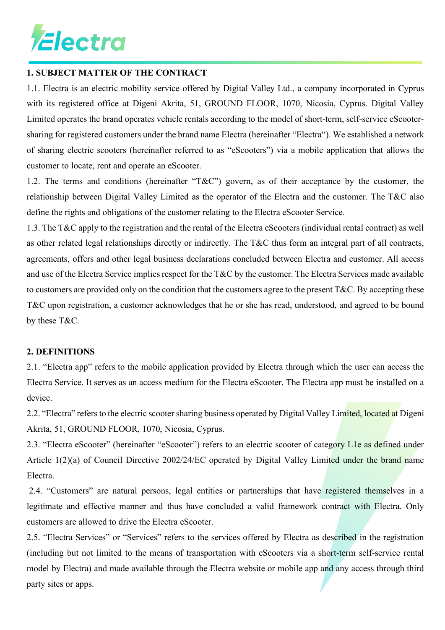

#### **1. SUBJECT MATTER OF THE CONTRACT**

1.1. Electra is an electric mobility service offered by Digital Valley Ltd., a company incorporated in Cyprus with its registered office at Digeni Akrita, 51, GROUND FLOOR, 1070, Nicosia, Cyprus. Digital Valley Limited operates the brand operates vehicle rentals according to the model of short-term, self-service eScootersharing for registered customers under the brand name Electra (hereinafter "Electra"). We established a network of sharing electric scooters (hereinafter referred to as "eScooters") via a mobile application that allows the customer to locate, rent and operate an eScooter.

1.2. The terms and conditions (hereinafter "T&C") govern, as of their acceptance by the customer, the relationship between Digital Valley Limited as the operator of the Electra and the customer. The T&C also define the rights and obligations of the customer relating to the Electra eScooter Service.

1.3. The T&C apply to the registration and the rental of the Electra eScooters (individual rental contract) as well as other related legal relationships directly or indirectly. The T&C thus form an integral part of all contracts, agreements, offers and other legal business declarations concluded between Electra and customer. All access and use of the Electra Service implies respect for the T&C by the customer. The Electra Services made available to customers are provided only on the condition that the customers agree to the present T&C. By accepting these T&C upon registration, a customer acknowledges that he or she has read, understood, and agreed to be bound by these T&C.

#### **2. DEFINITIONS**

2.1. "Electra app" refers to the mobile application provided by Electra through which the user can access the Electra Service. It serves as an access medium for the Electra eScooter. The Electra app must be installed on a device.

2.2. "Electra" refers to the electric scooter sharing business operated by Digital Valley Limited, located at Digeni Akrita, 51, GROUND FLOOR, 1070, Nicosia, Cyprus.

2.3. "Electra eScooter" (hereinafter "eScooter") refers to an electric scooter of category L1e as defined under Article 1(2)(a) of Council Directive 2002/24/EC operated by Digital Valley Limited under the brand name Electra.

2.4. "Customers" are natural persons, legal entities or partnerships that have registered themselves in a legitimate and effective manner and thus have concluded a valid framework contract with Electra. Only customers are allowed to drive the Electra eScooter.

2.5. "Electra Services" or "Services" refers to the services offered by Electra as described in the registration (including but not limited to the means of transportation with eScooters via a short-term self-service rental model by Electra) and made available through the Electra website or mobile app and any access through third party sites or apps.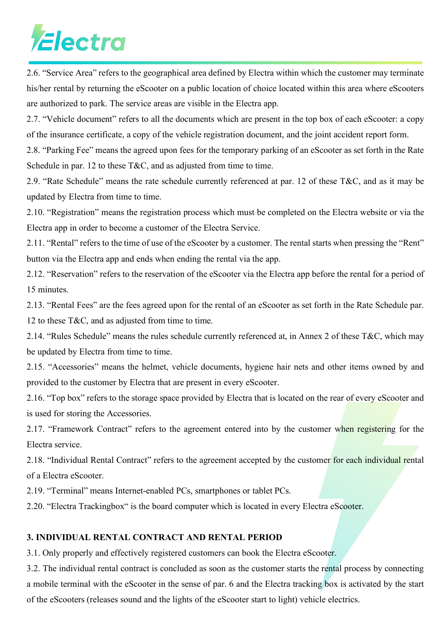2.6. "Service Area" refers to the geographical area defined by Electra within which the customer may terminate his/her rental by returning the eScooter on a public location of choice located within this area where eScooters are authorized to park. The service areas are visible in the Electra app.

2.7. "Vehicle document" refers to all the documents which are present in the top box of each eScooter: a copy of the insurance certificate, a copy of the vehicle registration document, and the joint accident report form.

2.8. "Parking Fee" means the agreed upon fees for the temporary parking of an eScooter as set forth in the Rate Schedule in par. 12 to these  $T\&C$ , and as adjusted from time to time.

2.9. "Rate Schedule" means the rate schedule currently referenced at par. 12 of these T&C, and as it may be updated by Electra from time to time.

2.10. "Registration" means the registration process which must be completed on the Electra website or via the Electra app in order to become a customer of the Electra Service.

2.11. "Rental" refers to the time of use of the eScooter by a customer. The rental starts when pressing the "Rent" button via the Electra app and ends when ending the rental via the app.

2.12. "Reservation" refers to the reservation of the eScooter via the Electra app before the rental for a period of 15 minutes.

2.13. "Rental Fees" are the fees agreed upon for the rental of an eScooter as set forth in the Rate Schedule par. 12 to these T&C, and as adjusted from time to time.

2.14. "Rules Schedule" means the rules schedule currently referenced at, in Annex 2 of these T&C, which may be updated by Electra from time to time.

2.15. "Accessories" means the helmet, vehicle documents, hygiene hair nets and other items owned by and provided to the customer by Electra that are present in every eScooter.

2.16. "Top box" refers to the storage space provided by Electra that is located on the rear of every eScooter and is used for storing the Accessories.

2.17. "Framework Contract" refers to the agreement entered into by the customer when registering for the Electra service.

2.18. "Individual Rental Contract" refers to the agreement accepted by the customer for each individual rental of a Electra eScooter.

2.19. "Terminal" means Internet-enabled PCs, smartphones or tablet PCs.

2.20. "Electra Trackingbox" is the board computer which is located in every Electra eScooter.

### **3. INDIVIDUAL RENTAL CONTRACT AND RENTAL PERIOD**

3.1. Only properly and effectively registered customers can book the Electra eScooter.

3.2. The individual rental contract is concluded as soon as the customer starts the rental process by connecting a mobile terminal with the eScooter in the sense of par. 6 and the Electra tracking box is activated by the start of the eScooters (releases sound and the lights of the eScooter start to light) vehicle electrics.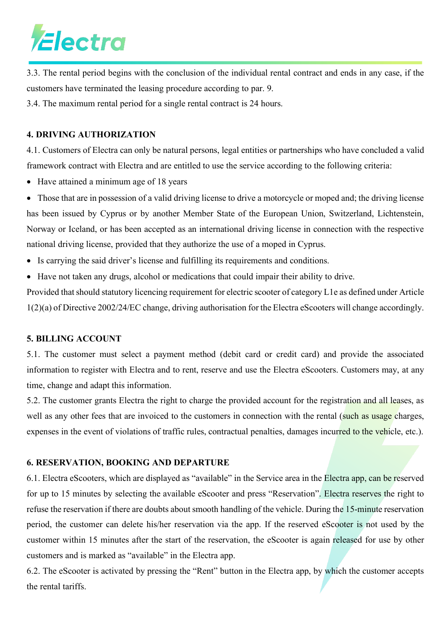

3.3. The rental period begins with the conclusion of the individual rental contract and ends in any case, if the customers have terminated the leasing procedure according to par. 9.

3.4. The maximum rental period for a single rental contract is 24 hours.

#### **4. DRIVING AUTHORIZATION**

4.1. Customers of Electra can only be natural persons, legal entities or partnerships who have concluded a valid framework contract with Electra and are entitled to use the service according to the following criteria:

• Have attained a minimum age of 18 years

• Those that are in possession of a valid driving license to drive a motorcycle or moped and; the driving license has been issued by Cyprus or by another Member State of the European Union, Switzerland, Lichtenstein, Norway or Iceland, or has been accepted as an international driving license in connection with the respective national driving license, provided that they authorize the use of a moped in Cyprus.

- Is carrying the said driver's license and fulfilling its requirements and conditions.
- Have not taken any drugs, alcohol or medications that could impair their ability to drive.

Provided that should statutory licencing requirement for electric scooter of category L1e as defined under Article 1(2)(a) of Directive 2002/24/EC change, driving authorisation for the Electra eScooters will change accordingly.

### **5. BILLING ACCOUNT**

5.1. The customer must select a payment method (debit card or credit card) and provide the associated information to register with Electra and to rent, reserve and use the Electra eScooters. Customers may, at any time, change and adapt this information.

5.2. The customer grants Electra the right to charge the provided account for the registration and all leases, as well as any other fees that are invoiced to the customers in connection with the rental (such as usage charges, expenses in the event of violations of traffic rules, contractual penalties, damages incurred to the vehicle, etc.).

### **6. RESERVATION, BOOKING AND DEPARTURE**

6.1. Electra eScooters, which are displayed as "available" in the Service area in the Electra app, can be reserved for up to 15 minutes by selecting the available eScooter and press "Reservation". Electra reserves the right to refuse the reservation if there are doubts about smooth handling of the vehicle. During the 15-minute reservation period, the customer can delete his/her reservation via the app. If the reserved eScooter is not used by the customer within 15 minutes after the start of the reservation, the eScooter is again released for use by other customers and is marked as "available" in the Electra app.

6.2. The eScooter is activated by pressing the "Rent" button in the Electra app, by which the customer accepts the rental tariffs.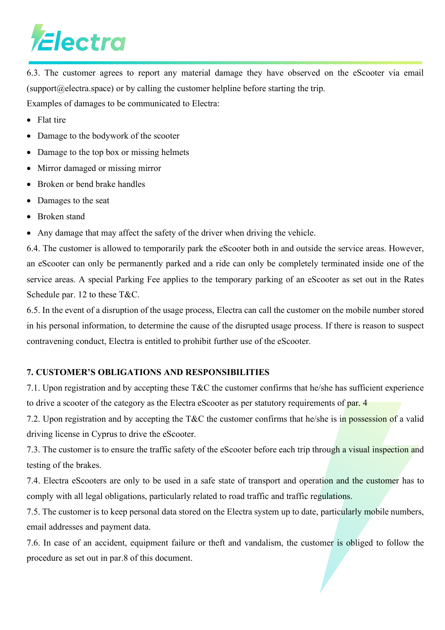6.3. The customer agrees to report any material damage they have observed on the eScooter via email (support  $@e$  lectra.space) or by calling the customer helpline before starting the trip. Examples of damages to be communicated to Electra:

- Flat tire
- Damage to the bodywork of the scooter
- Damage to the top box or missing helmets
- Mirror damaged or missing mirror
- Broken or bend brake handles
- Damages to the seat
- Broken stand
- Any damage that may affect the safety of the driver when driving the vehicle.

6.4. The customer is allowed to temporarily park the eScooter both in and outside the service areas. However, an eScooter can only be permanently parked and a ride can only be completely terminated inside one of the service areas. A special Parking Fee applies to the temporary parking of an eScooter as set out in the Rates Schedule par. 12 to these T&C.

6.5. In the event of a disruption of the usage process, Electra can call the customer on the mobile number stored in his personal information, to determine the cause of the disrupted usage process. If there is reason to suspect contravening conduct, Electra is entitled to prohibit further use of the eScooter.

### **7. CUSTOMER'S OBLIGATIONS AND RESPONSIBILITIES**

7.1. Upon registration and by accepting these T&C the customer confirms that he/she has sufficient experience to drive a scooter of the category as the Electra eScooter as per statutory requirements of par. 4

7.2. Upon registration and by accepting the T&C the customer confirms that he/she is in possession of a valid driving license in Cyprus to drive the eScooter.

7.3. The customer is to ensure the traffic safety of the eScooter before each trip through a visual inspection and testing of the brakes.

7.4. Electra eScooters are only to be used in a safe state of transport and operation and the customer has to comply with all legal obligations, particularly related to road traffic and traffic regulations.

7.5. The customer is to keep personal data stored on the Electra system up to date, particularly mobile numbers, email addresses and payment data.

7.6. In case of an accident, equipment failure or theft and vandalism, the customer is obliged to follow the procedure as set out in par.8 of this document.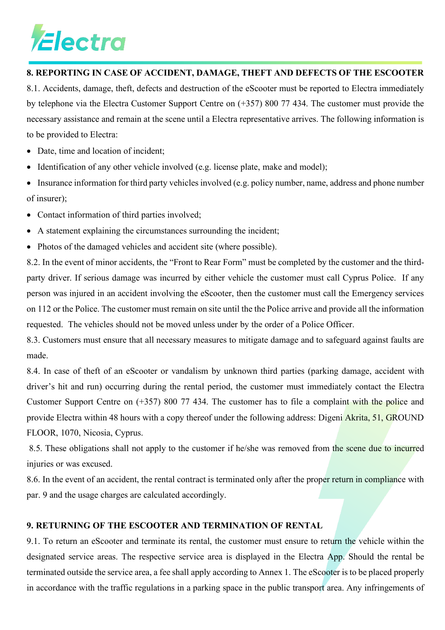### **8. REPORTING IN CASE OF ACCIDENT, DAMAGE, THEFT AND DEFECTS OF THE ESCOOTER**

8.1. Accidents, damage, theft, defects and destruction of the eScooter must be reported to Electra immediately by telephone via the Electra Customer Support Centre on (+357) 800 77 434. The customer must provide the necessary assistance and remain at the scene until a Electra representative arrives. The following information is to be provided to Electra:

- Date, time and location of incident;
- Identification of any other vehicle involved (e.g. license plate, make and model);
- Insurance information for third party vehicles involved (e.g. policy number, name, address and phone number of insurer);
- Contact information of third parties involved;
- A statement explaining the circumstances surrounding the incident;
- Photos of the damaged vehicles and accident site (where possible).

8.2. In the event of minor accidents, the "Front to Rear Form" must be completed by the customer and the thirdparty driver. If serious damage was incurred by either vehicle the customer must call Cyprus Police. If any person was injured in an accident involving the eScooter, then the customer must call the Emergency services on 112 or the Police. The customer must remain on site until the the Police arrive and provide all the information requested. The vehicles should not be moved unless under by the order of a Police Officer.

8.3. Customers must ensure that all necessary measures to mitigate damage and to safeguard against faults are made.

8.4. In case of theft of an eScooter or vandalism by unknown third parties (parking damage, accident with driver's hit and run) occurring during the rental period, the customer must immediately contact the Electra Customer Support Centre on (+357) 800 77 434. The customer has to file a complaint with the police and provide Electra within 48 hours with a copy thereof under the following address: Digeni Akrita, 51, GROUND FLOOR, 1070, Nicosia, Cyprus.

8.5. These obligations shall not apply to the customer if he/she was removed from the scene due to incurred injuries or was excused.

8.6. In the event of an accident, the rental contract is terminated only after the proper return in compliance with par. 9 and the usage charges are calculated accordingly.

### **9. RETURNING OF THE ESCOOTER AND TERMINATION OF RENTAL**

9.1. To return an eScooter and terminate its rental, the customer must ensure to return the vehicle within the designated service areas. The respective service area is displayed in the Electra App. Should the rental be terminated outside the service area, a fee shall apply according to Annex 1. The eScooter is to be placed properly in accordance with the traffic regulations in a parking space in the public transport area. Any infringements of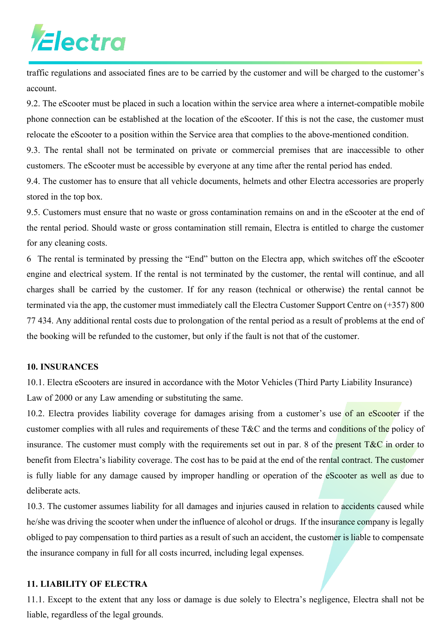traffic regulations and associated fines are to be carried by the customer and will be charged to the customer's account.

9.2. The eScooter must be placed in such a location within the service area where a internet-compatible mobile phone connection can be established at the location of the eScooter. If this is not the case, the customer must relocate the eScooter to a position within the Service area that complies to the above-mentioned condition.

9.3. The rental shall not be terminated on private or commercial premises that are inaccessible to other customers. The eScooter must be accessible by everyone at any time after the rental period has ended.

9.4. The customer has to ensure that all vehicle documents, helmets and other Electra accessories are properly stored in the top box.

9.5. Customers must ensure that no waste or gross contamination remains on and in the eScooter at the end of the rental period. Should waste or gross contamination still remain, Electra is entitled to charge the customer for any cleaning costs.

6 The rental is terminated by pressing the "End" button on the Electra app, which switches off the eScooter engine and electrical system. If the rental is not terminated by the customer, the rental will continue, and all charges shall be carried by the customer. If for any reason (technical or otherwise) the rental cannot be terminated via the app, the customer must immediately call the Electra Customer Support Centre on (+357) 800 77 434. Any additional rental costs due to prolongation of the rental period as a result of problems at the end of the booking will be refunded to the customer, but only if the fault is not that of the customer.

#### **10. INSURANCES**

10.1. Electra eScooters are insured in accordance with the Motor Vehicles (Third Party Liability Insurance) Law of 2000 or any Law amending or substituting the same.

10.2. Electra provides liability coverage for damages arising from a customer's use of an eScooter if the customer complies with all rules and requirements of these T&C and the terms and conditions of the policy of insurance. The customer must comply with the requirements set out in par. 8 of the present  $T\&C$  in order to benefit from Electra's liability coverage. The cost has to be paid at the end of the rental contract. The customer is fully liable for any damage caused by improper handling or operation of the eScooter as well as due to deliberate acts.

10.3. The customer assumes liability for all damages and injuries caused in relation to accidents caused while he/she was driving the scooter when under the influence of alcohol or drugs. If the insurance company is legally obliged to pay compensation to third parties as a result of such an accident, the customer is liable to compensate the insurance company in full for all costs incurred, including legal expenses.

### **11. LIABILITY OF ELECTRA**

11.1. Except to the extent that any loss or damage is due solely to Electra's negligence, Electra shall not be liable, regardless of the legal grounds.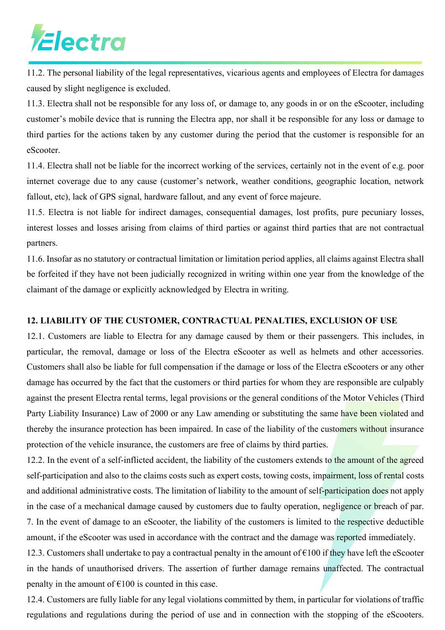11.2. The personal liability of the legal representatives, vicarious agents and employees of Electra for damages caused by slight negligence is excluded.

11.3. Electra shall not be responsible for any loss of, or damage to, any goods in or on the eScooter, including customer's mobile device that is running the Electra app, nor shall it be responsible for any loss or damage to third parties for the actions taken by any customer during the period that the customer is responsible for an eScooter.

11.4. Electra shall not be liable for the incorrect working of the services, certainly not in the event of e.g. poor internet coverage due to any cause (customer's network, weather conditions, geographic location, network fallout, etc), lack of GPS signal, hardware fallout, and any event of force majeure.

11.5. Electra is not liable for indirect damages, consequential damages, lost profits, pure pecuniary losses, interest losses and losses arising from claims of third parties or against third parties that are not contractual partners.

11.6. Insofar as no statutory or contractual limitation or limitation period applies, all claims against Electra shall be forfeited if they have not been judicially recognized in writing within one year from the knowledge of the claimant of the damage or explicitly acknowledged by Electra in writing.

#### **12. LIABILITY OF THE CUSTOMER, CONTRACTUAL PENALTIES, EXCLUSION OF USE**

12.1. Customers are liable to Electra for any damage caused by them or their passengers. This includes, in particular, the removal, damage or loss of the Electra eScooter as well as helmets and other accessories. Customers shall also be liable for full compensation if the damage or loss of the Electra eScooters or any other damage has occurred by the fact that the customers or third parties for whom they are responsible are culpably against the present Electra rental terms, legal provisions or the general conditions of the Motor Vehicles (Third Party Liability Insurance) Law of 2000 or any Law amending or substituting the same have been violated and thereby the insurance protection has been impaired. In case of the liability of the customers without insurance protection of the vehicle insurance, the customers are free of claims by third parties.

12.2. In the event of a self-inflicted accident, the liability of the customers extends to the amount of the agreed self-participation and also to the claims costs such as expert costs, towing costs, impairment, loss of rental costs and additional administrative costs. The limitation of liability to the amount of self-participation does not apply in the case of a mechanical damage caused by customers due to faulty operation, negligence or breach of par. 7. In the event of damage to an eScooter, the liability of the customers is limited to the respective deductible amount, if the eScooter was used in accordance with the contract and the damage was reported immediately.

12.3. Customers shall undertake to pay a contractual penalty in the amount of  $\epsilon$ 100 if they have left the eScooter in the hands of unauthorised drivers. The assertion of further damage remains unaffected. The contractual penalty in the amount of  $\epsilon$ 100 is counted in this case.

12.4. Customers are fully liable for any legal violations committed by them, in particular for violations of traffic regulations and regulations during the period of use and in connection with the stopping of the eScooters.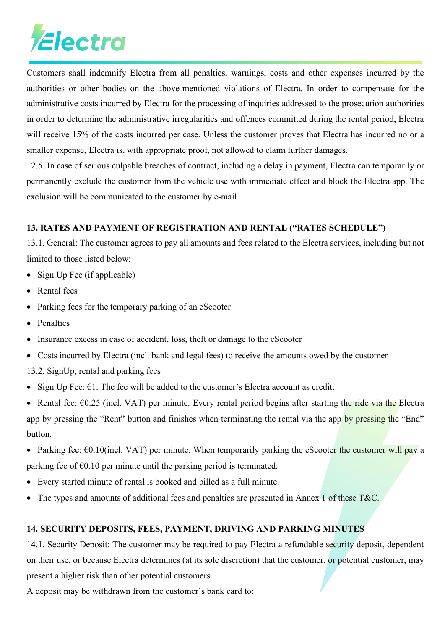Customers shall indemnify Electra from all penalties, warnings, costs and other expenses incurred by the authorities or other bodies on the above-mentioned violations of Electra. In order to compensate for the administrative costs incurred by Electra for the processing of inquiries addressed to the prosecution authorities in order to determine the administrative irregularities and offences committed during the rental period, Electra will receive 15% of the costs incurred per case. Unless the customer proves that Electra has incurred no or a smaller expense, Electra is, with appropriate proof, not allowed to claim further damages.

12.5. In case of serious culpable breaches of contract, including a delay in payment, Electra can temporarily or permanently exclude the customer from the vehicle use with immediate effect and block the Electra app. The exclusion will be communicated to the customer by e-mail.

### **13. RATES AND PAYMENT OF REGISTRATION AND RENTAL ("RATES SCHEDULE")**

13.1. General: The customer agrees to pay all amounts and fees related to the Electra services, including but not limited to those listed below:

- Sign Up Fee (if applicable)
- Rental fees
- Parking fees for the temporary parking of an eScooter
- Penalties
- Insurance excess in case of accident, loss, theft or damage to the eScooter
- Costs incurred by Electra (incl. bank and legal fees) to receive the amounts owed by the customer
- 13.2. SignUp, rental and parking fees
- Sign Up Fee:  $\epsilon$ 1. The fee will be added to the customer's Electra account as credit.
- Rental fee:  $\epsilon$ 0.25 (incl. VAT) per minute. Every rental period begins after starting the ride via the Electra app by pressing the "Rent" button and finishes when terminating the rental via the app by pressing the "End" button.
- Parking fee:  $\epsilon$ 0.10(incl. VAT) per minute. When temporarily parking the eScooter the customer will pay a parking fee of  $\epsilon$ 0.10 per minute until the parking period is terminated.
- Every started minute of rental is booked and billed as a full minute.
- The types and amounts of additional fees and penalties are presented in Annex 1 of these T&C.

### **14. SECURITY DEPOSITS, FEES, PAYMENT, DRIVING AND PARKING MINUTES**

14.1. Security Deposit: The customer may be required to pay Electra a refundable security deposit, dependent on their use, or because Electra determines (at its sole discretion) that the customer, or potential customer, may present a higher risk than other potential customers.

A deposit may be withdrawn from the customer's bank card to: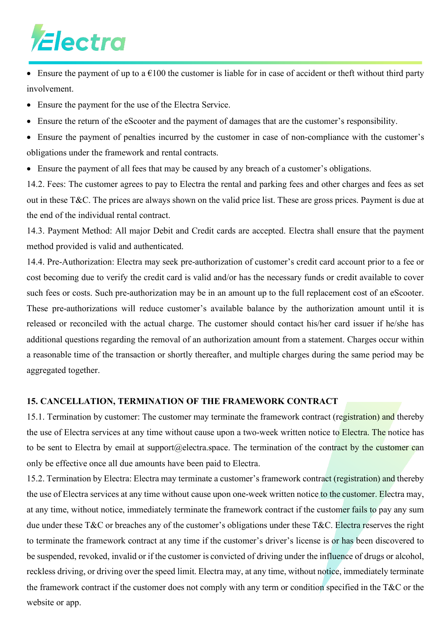• Ensure the payment of up to a  $\epsilon$ 100 the customer is liable for in case of accident or theft without third party involvement.

- Ensure the payment for the use of the Electra Service.
- Ensure the return of the eScooter and the payment of damages that are the customer's responsibility.
- Ensure the payment of penalties incurred by the customer in case of non-compliance with the customer's obligations under the framework and rental contracts.
- Ensure the payment of all fees that may be caused by any breach of a customer's obligations.

14.2. Fees: The customer agrees to pay to Electra the rental and parking fees and other charges and fees as set out in these T&C. The prices are always shown on the valid price list. These are gross prices. Payment is due at the end of the individual rental contract.

14.3. Payment Method: All major Debit and Credit cards are accepted. Electra shall ensure that the payment method provided is valid and authenticated.

14.4. Pre-Authorization: Electra may seek pre-authorization of customer's credit card account prior to a fee or cost becoming due to verify the credit card is valid and/or has the necessary funds or credit available to cover such fees or costs. Such pre-authorization may be in an amount up to the full replacement cost of an eScooter. These pre-authorizations will reduce customer's available balance by the authorization amount until it is released or reconciled with the actual charge. The customer should contact his/her card issuer if he/she has additional questions regarding the removal of an authorization amount from a statement. Charges occur within a reasonable time of the transaction or shortly thereafter, and multiple charges during the same period may be aggregated together.

### **15. CANCELLATION, TERMINATION OF THE FRAMEWORK CONTRACT**

15.1. Termination by customer: The customer may terminate the framework contract (registration) and thereby the use of Electra services at any time without cause upon a two-week written notice to Electra. The notice has to be sent to Electra by email at support@electra.space. The termination of the contract by the customer can only be effective once all due amounts have been paid to Electra.

15.2. Termination by Electra: Electra may terminate a customer's framework contract (registration) and thereby the use of Electra services at any time without cause upon one-week written notice to the customer. Electra may, at any time, without notice, immediately terminate the framework contract if the customer fails to pay any sum due under these T&C or breaches any of the customer's obligations under these T&C. Electra reserves the right to terminate the framework contract at any time if the customer's driver's license is or has been discovered to be suspended, revoked, invalid or if the customer is convicted of driving under the influence of drugs or alcohol, reckless driving, or driving over the speed limit. Electra may, at any time, without notice, immediately terminate the framework contract if the customer does not comply with any term or condition specified in the T&C or the website or app.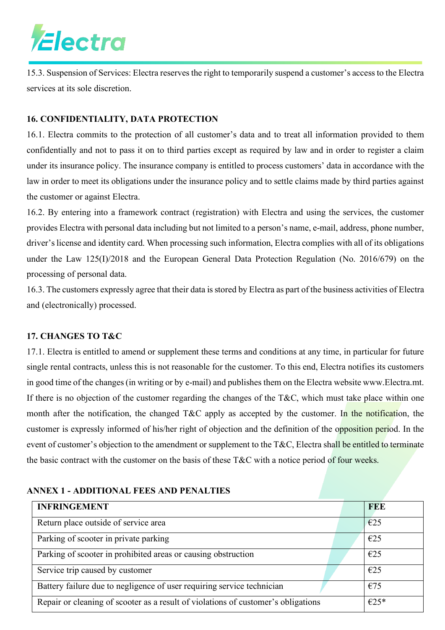15.3. Suspension of Services: Electra reserves the right to temporarily suspend a customer's access to the Electra services at its sole discretion.

### **16. CONFIDENTIALITY, DATA PROTECTION**

16.1. Electra commits to the protection of all customer's data and to treat all information provided to them confidentially and not to pass it on to third parties except as required by law and in order to register a claim under its insurance policy. The insurance company is entitled to process customers' data in accordance with the law in order to meet its obligations under the insurance policy and to settle claims made by third parties against the customer or against Electra.

16.2. By entering into a framework contract (registration) with Electra and using the services, the customer provides Electra with personal data including but not limited to a person's name, e-mail, address, phone number, driver's license and identity card. When processing such information, Electra complies with all of its obligations under the Law 125(I)/2018 and the European General Data Protection Regulation (No. 2016/679) on the processing of personal data.

16.3. The customers expressly agree that their data is stored by Electra as part of the business activities of Electra and (electronically) processed.

### **17. CHANGES TO T&C**

17.1. Electra is entitled to amend or supplement these terms and conditions at any time, in particular for future single rental contracts, unless this is not reasonable for the customer. To this end, Electra notifies its customers in good time of the changes (in writing or by e-mail) and publishes them on the Electra website www.Electra.mt. If there is no objection of the customer regarding the changes of the  $T\&C$ , which must take place within one month after the notification, the changed T&C apply as accepted by the customer. In the notification, the customer is expressly informed of his/her right of objection and the definition of the opposition period. In the event of customer's objection to the amendment or supplement to the T&C, Electra shall be entitled to terminate the basic contract with the customer on the basis of these T&C with a notice period of four weeks.

### **INFRINGEMENT FEE** Return place outside of service area  $\left| \epsilon_{25} \right|$ Parking of scooter in private parking  $\epsilon$ 25 Parking of scooter in prohibited areas or causing obstruction  $\epsilon_{25}$ Service trip caused by customer  $\left| \right| \in 25$ Battery failure due to negligence of user requiring service technician  $\epsilon$   $\approx$   $675$ Repair or cleaning of scooter as a result of violations of customer's obligations  $\left|\right. \in 25^*$

### **ANNEX 1 - ADDITIONAL FEES AND PENALTIES**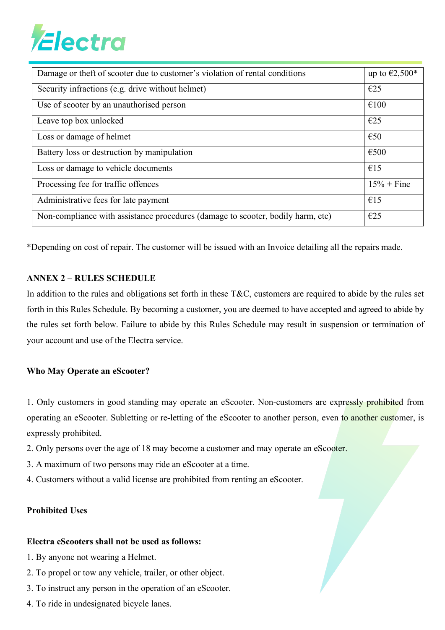| Damage or theft of scooter due to customer's violation of rental conditions     | up to $\epsilon$ 2,500 <sup><math>*</math></sup> |
|---------------------------------------------------------------------------------|--------------------------------------------------|
| Security infractions (e.g. drive without helmet)                                | E25                                              |
| Use of scooter by an unauthorised person                                        | €100                                             |
| Leave top box unlocked                                                          | E25                                              |
| Loss or damage of helmet                                                        | $\epsilon$ 50                                    |
| Battery loss or destruction by manipulation                                     | €500                                             |
| Loss or damage to vehicle documents                                             | €15                                              |
| Processing fee for traffic offences                                             | $15% +$ Fine                                     |
| Administrative fees for late payment                                            | €15                                              |
| Non-compliance with assistance procedures (damage to scooter, bodily harm, etc) | E25                                              |

\*Depending on cost of repair. The customer will be issued with an Invoice detailing all the repairs made.

#### **ANNEX 2 – RULES SCHEDULE**

In addition to the rules and obligations set forth in these  $T\&C$ , customers are required to abide by the rules set forth in this Rules Schedule. By becoming a customer, you are deemed to have accepted and agreed to abide by the rules set forth below. Failure to abide by this Rules Schedule may result in suspension or termination of your account and use of the Electra service.

#### **Who May Operate an eScooter?**

1. Only customers in good standing may operate an eScooter. Non-customers are expressly prohibited from operating an eScooter. Subletting or re-letting of the eScooter to another person, even to another customer, is expressly prohibited.

- 2. Only persons over the age of 18 may become a customer and may operate an eScooter.
- 3. A maximum of two persons may ride an eScooter at a time.
- 4. Customers without a valid license are prohibited from renting an eScooter.

### **Prohibited Uses**

#### **Electra eScooters shall not be used as follows:**

- 1. By anyone not wearing a Helmet.
- 2. To propel or tow any vehicle, trailer, or other object.
- 3. To instruct any person in the operation of an eScooter.
- 4. To ride in undesignated bicycle lanes.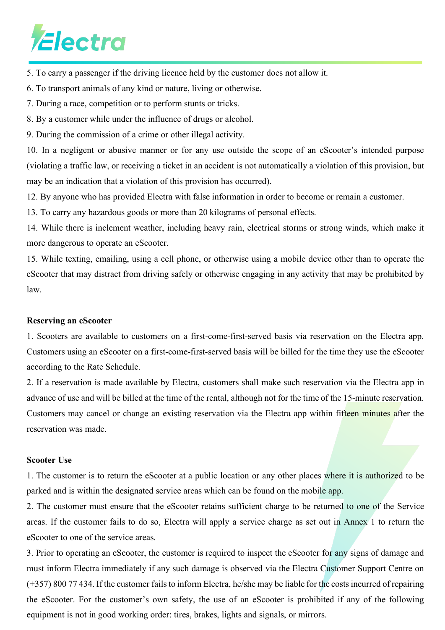5. To carry a passenger if the driving licence held by the customer does not allow it.

6. To transport animals of any kind or nature, living or otherwise.

7. During a race, competition or to perform stunts or tricks.

8. By a customer while under the influence of drugs or alcohol.

9. During the commission of a crime or other illegal activity.

10. In a negligent or abusive manner or for any use outside the scope of an eScooter's intended purpose (violating a traffic law, or receiving a ticket in an accident is not automatically a violation of this provision, but may be an indication that a violation of this provision has occurred).

12. By anyone who has provided Electra with false information in order to become or remain a customer.

13. To carry any hazardous goods or more than 20 kilograms of personal effects.

14. While there is inclement weather, including heavy rain, electrical storms or strong winds, which make it more dangerous to operate an eScooter.

15. While texting, emailing, using a cell phone, or otherwise using a mobile device other than to operate the eScooter that may distract from driving safely or otherwise engaging in any activity that may be prohibited by law.

#### **Reserving an eScooter**

1. Scooters are available to customers on a first-come-first-served basis via reservation on the Electra app. Customers using an eScooter on a first-come-first-served basis will be billed for the time they use the eScooter according to the Rate Schedule.

2. If a reservation is made available by Electra, customers shall make such reservation via the Electra app in advance of use and will be billed at the time of the rental, although not for the time of the 15-minute reservation. Customers may cancel or change an existing reservation via the Electra app within fifteen minutes after the reservation was made.

#### **Scooter Use**

1. The customer is to return the eScooter at a public location or any other places where it is authorized to be parked and is within the designated service areas which can be found on the mobile app.

2. The customer must ensure that the eScooter retains sufficient charge to be returned to one of the Service areas. If the customer fails to do so, Electra will apply a service charge as set out in Annex 1 to return the eScooter to one of the service areas.

3. Prior to operating an eScooter, the customer is required to inspect the eScooter for any signs of damage and must inform Electra immediately if any such damage is observed via the Electra Customer Support Centre on (+357) 800 77 434. If the customer fails to inform Electra, he/she may be liable for the costs incurred of repairing the eScooter. For the customer's own safety, the use of an eScooter is prohibited if any of the following equipment is not in good working order: tires, brakes, lights and signals, or mirrors.